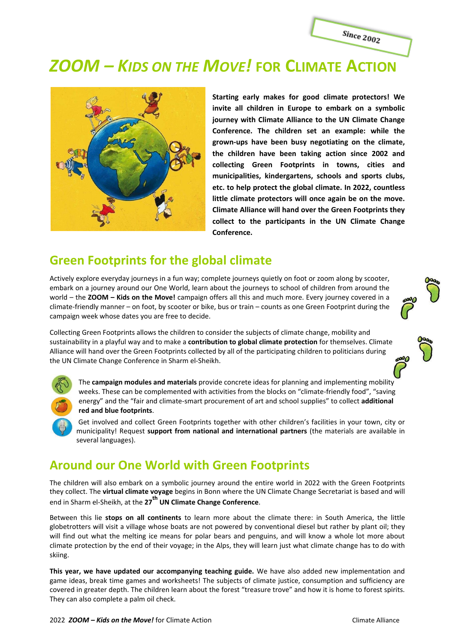

# *ZOOM – KIDS ON THE MOVE!* **FOR CLIMATE ACTION**



**Starting early makes for good climate protectors! We invite all children in Europe to embark on a symbolic journey with Climate Alliance to the UN Climate Change Conference. The children set an example: while the grown-ups have been busy negotiating on the climate, the children have been taking action since 2002 and collecting Green Footprints in towns, cities and municipalities, kindergartens, schools and sports clubs, etc. to help protect the global climate. In 2022, countless little climate protectors will once again be on the move. Climate Alliance will hand over the Green Footprints they collect to the participants in the UN Climate Change Conference.**

### **Green Footprints for the global climate**

Actively explore everyday journeys in a fun way; complete journeys quietly on foot or zoom along by scooter, embark on a journey around our One World, learn about the journeys to school of children from around the world – the **ZOOM – Kids on the Move!** campaign offers all this and much more. Every journey covered in a climate-friendly manner – on foot, by scooter or bike, bus or train – counts as one Green Footprint during the campaign week whose dates you are free to decide.

Collecting Green Footprints allows the children to consider the subjects of climate change, mobility and sustainability in a playful way and to make a **contribution to global climate protection** for themselves. Climate Alliance will hand over the Green Footprints collected by all of the participating children to politicians during the UN Climate Change Conference in Sharm el-Sheikh.



The **campaign modules and materials** provide concrete ideas for planning and implementing mobility weeks. These can be complemented with activities from the blocks on "climate-friendly food", "saving energy" and the "fair and climate-smart procurement of art and school supplies" to collect **additional red and blue footprints**.

Get involved and collect Green Footprints together with other children's facilities in your town, city or municipality! Request **support from national and international partners** (the materials are available in several languages).

## **Around our One World with Green Footprints**

The children will also embark on a symbolic journey around the entire world in 2022 with the Green Footprints they collect. The **virtual climate voyage** begins in Bonn where the UN Climate Change Secretariat is based and will end in Sharm el-Sheikh, at the **27th UN Climate Change Conference**.

Between this lie **stops on all continents** to learn more about the climate there: in South America, the little globetrotters will visit a village whose boats are not powered by conventional diesel but rather by plant oil; they will find out what the melting ice means for polar bears and penguins, and will know a whole lot more about climate protection by the end of their voyage; in the Alps, they will learn just what climate change has to do with skiing.

**This year, we have updated our accompanying teaching guide.** We have also added new implementation and game ideas, break time games and worksheets! The subjects of climate justice, consumption and sufficiency are covered in greater depth. The children learn about the forest "treasure trove" and how it is home to forest spirits. They can also complete a palm oil check.